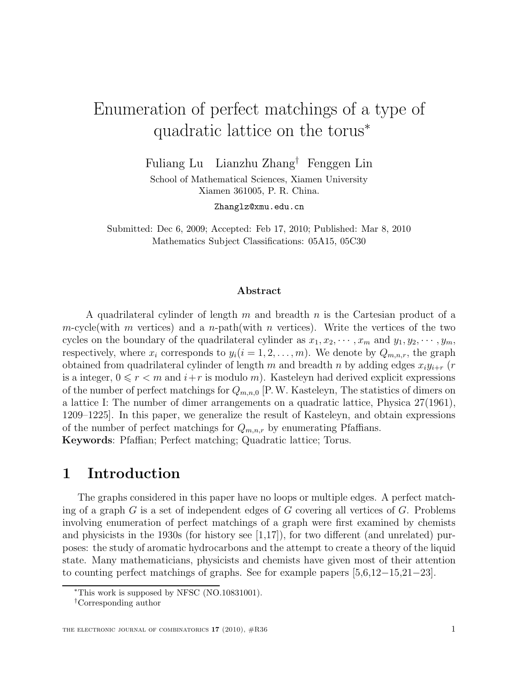# Enumeration of perfect matchings of a type of quadratic lattice on the torus<sup>∗</sup>

Fuliang Lu Lianzhu Zhang† Fenggen Lin

School of Mathematical Sciences, Xiamen University Xiamen 361005, P. R. China.

Zhanglz@xmu.edu.cn

Submitted: Dec 6, 2009; Accepted: Feb 17, 2010; Published: Mar 8, 2010 Mathematics Subject Classifications: 05A15, 05C30

#### Abstract

A quadrilateral cylinder of length m and breadth n is the Cartesian product of a m-cycle(with m vertices) and a n-path(with n vertices). Write the vertices of the two cycles on the boundary of the quadrilateral cylinder as  $x_1, x_2, \dots, x_m$  and  $y_1, y_2, \dots, y_m$ , respectively, where  $x_i$  corresponds to  $y_i(i = 1, 2, \ldots, m)$ . We denote by  $Q_{m,n,r}$ , the graph obtained from quadrilateral cylinder of length m and breadth n by adding edges  $x_i y_{i+r}$  (r is a integer,  $0 \leq r < m$  and  $i+r$  is modulo m). Kasteleyn had derived explicit expressions of the number of perfect matchings for  $Q_{m,n,0}$  [P.W. Kasteleyn, The statistics of dimers on a lattice I: The number of dimer arrangements on a quadratic lattice, Physica 27(1961), 1209–1225]. In this paper, we generalize the result of Kasteleyn, and obtain expressions of the number of perfect matchings for  $Q_{m,n,r}$  by enumerating Pfaffians. Keywords: Pfaffian; Perfect matching; Quadratic lattice; Torus.

## 1 Introduction

The graphs considered in this paper have no loops or multiple edges. A perfect matching of a graph  $G$  is a set of independent edges of  $G$  covering all vertices of  $G$ . Problems involving enumeration of perfect matchings of a graph were first examined by chemists and physicists in the 1930s (for history see [1,17]), for two different (and unrelated) purposes: the study of aromatic hydrocarbons and the attempt to create a theory of the liquid state. Many mathematicians, physicists and chemists have given most of their attention to counting perfect matchings of graphs. See for example papers [5,6,12−15,21−23].

<sup>∗</sup>This work is supposed by NFSC (NO.10831001).

<sup>†</sup>Corresponding author

THE ELECTRONIC JOURNAL OF COMBINATORICS  $17$  (2010),  $\#R36$  1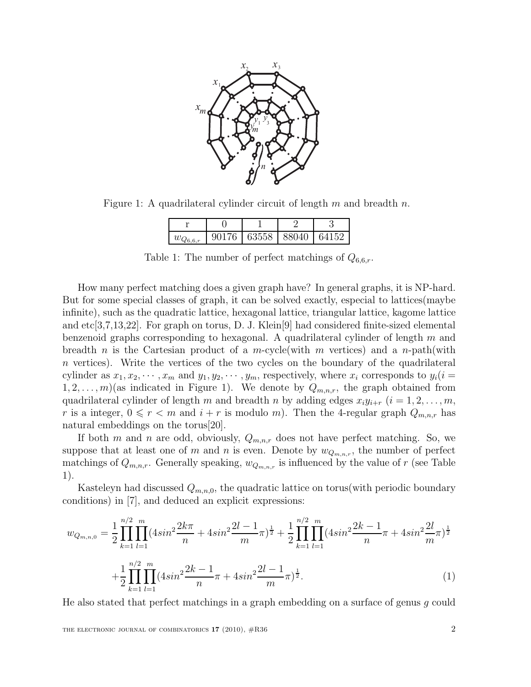

Figure 1: A quadrilateral cylinder circuit of length  $m$  and breadth  $n$ .

| 90176 | 63558 88040 | 64152 |
|-------|-------------|-------|

Table 1: The number of perfect matchings of  $Q_{6,6,r}$ .

How many perfect matching does a given graph have? In general graphs, it is NP-hard. But for some special classes of graph, it can be solved exactly, especial to lattices(maybe infinite), such as the quadratic lattice, hexagonal lattice, triangular lattice, kagome lattice and etc[3,7,13,22]. For graph on torus, D. J. Klein[9] had considered finite-sized elemental benzenoid graphs corresponding to hexagonal. A quadrilateral cylinder of length  $m$  and breadth n is the Cartesian product of a m-cycle(with m vertices) and a n-path(with  $n$  vertices). Write the vertices of the two cycles on the boundary of the quadrilateral cylinder as  $x_1, x_2, \dots, x_m$  and  $y_1, y_2, \dots, y_m$ , respectively, where  $x_i$  corresponds to  $y_i(i =$  $1, 2, \ldots, m$  (as indicated in Figure 1). We denote by  $Q_{m,n,r}$ , the graph obtained from quadrilateral cylinder of length m and breadth n by adding edges  $x_i y_{i+r}$   $(i = 1, 2, \ldots, m,$ r is a integer,  $0 \le r < m$  and  $i + r$  is modulo m). Then the 4-regular graph  $Q_{m,n,r}$  has natural embeddings on the torus[20].

If both m and n are odd, obviously,  $Q_{m,n,r}$  does not have perfect matching. So, we suppose that at least one of m and n is even. Denote by  $w_{Q_{m,n,r}}$ , the number of perfect matchings of  $Q_{m,n,r}$ . Generally speaking,  $w_{Q_{m,n,r}}$  is influenced by the value of r (see Table 1).

Kasteleyn had discussed  $Q_{m,n,0}$ , the quadratic lattice on torus(with periodic boundary conditions) in [7], and deduced an explicit expressions:

$$
w_{Q_{m,n,0}} = \frac{1}{2} \prod_{k=1}^{n/2} \prod_{l=1}^{m} (4\sin^2 \frac{2k\pi}{n} + 4\sin^2 \frac{2l-1}{m}\pi)^{\frac{1}{2}} + \frac{1}{2} \prod_{k=1}^{n/2} \prod_{l=1}^{m} (4\sin^2 \frac{2k-1}{n}\pi + 4\sin^2 \frac{2l}{m}\pi)^{\frac{1}{2}} + \frac{1}{2} \prod_{k=1}^{n/2} \prod_{l=1}^{m} (4\sin^2 \frac{2k-1}{n}\pi + 4\sin^2 \frac{2l-1}{m}\pi)^{\frac{1}{2}}.
$$
\n(1)

He also stated that perfect matchings in a graph embedding on a surface of genus g could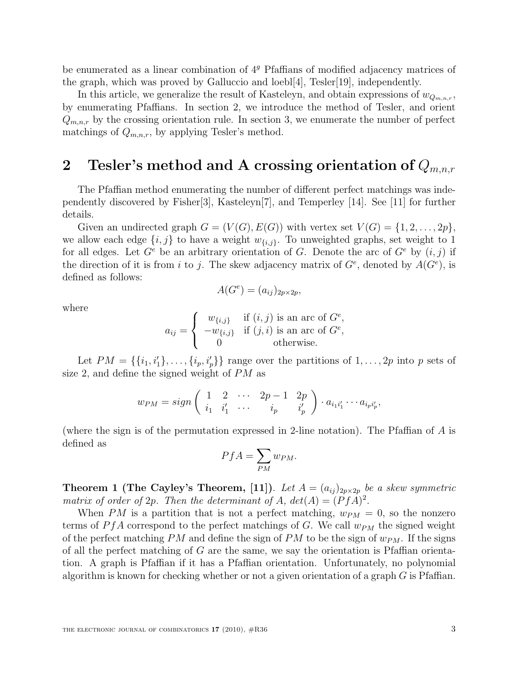be enumerated as a linear combination of  $4<sup>g</sup>$  Pfaffians of modified adjacency matrices of the graph, which was proved by Galluccio and loebl[4], Tesler[19], independently.

In this article, we generalize the result of Kasteleyn, and obtain expressions of  $w_{Q_{m,n,r}}$ , by enumerating Pfaffians. In section 2, we introduce the method of Tesler, and orient  $Q_{m,n,r}$  by the crossing orientation rule. In section 3, we enumerate the number of perfect matchings of  $Q_{m,n,r}$ , by applying Tesler's method.

## 2 Tesler's method and A crossing orientation of  $Q_{m,n,r}$

The Pfaffian method enumerating the number of different perfect matchings was independently discovered by Fisher[3], Kasteleyn[7], and Temperley [14]. See [11] for further details.

Given an undirected graph  $G = (V(G), E(G))$  with vertex set  $V(G) = \{1, 2, ..., 2p\},\$ we allow each edge  $\{i, j\}$  to have a weight  $w_{\{i,j\}}$ . To unweighted graphs, set weight to 1 for all edges. Let  $G^e$  be an arbitrary orientation of G. Denote the arc of  $G^e$  by  $(i, j)$  if the direction of it is from i to j. The skew adjacency matrix of  $G^e$ , denoted by  $A(G^e)$ , is defined as follows:

$$
A(G^e) = (a_{ij})_{2p \times 2p},
$$

where

$$
a_{ij} = \begin{cases} w_{\{i,j\}} & \text{if } (i,j) \text{ is an arc of } G^e, \\ -w_{\{i,j\}} & \text{if } (j,i) \text{ is an arc of } G^e, \\ 0 & \text{otherwise.} \end{cases}
$$

Let  $PM = \{\{i_1, i'_1\}, \ldots, \{i_p, i'_p\}\}\$  range over the partitions of  $1, \ldots, 2p$  into p sets of size 2, and define the signed weight of PM as

$$
w_{PM} = sign\left(\begin{array}{cccc} 1 & 2 & \cdots & 2p-1 & 2p \\ i_1 & i'_1 & \cdots & i_p & i'_p \end{array}\right) \cdot a_{i_1i'_1} \cdots a_{i_p i'_p},
$$

(where the sign is of the permutation expressed in 2-line notation). The Pfaffian of A is defined as

$$
PfA = \sum_{PM} w_{PM}.
$$

**Theorem 1 (The Cayley's Theorem, [11]).** Let  $A = (a_{ij})_{2p \times 2p}$  be a skew symmetric matrix of order of 2p. Then the determinant of A,  $det(A) = (PfA)^2$ .

When PM is a partition that is not a perfect matching,  $w_{PM} = 0$ , so the nonzero terms of  $P f A$  correspond to the perfect matchings of G. We call  $w_{PM}$  the signed weight of the perfect matching PM and define the sign of PM to be the sign of  $w_{PM}$ . If the signs of all the perfect matching of  $G$  are the same, we say the orientation is Pfaffian orientation. A graph is Pfaffian if it has a Pfaffian orientation. Unfortunately, no polynomial algorithm is known for checking whether or not a given orientation of a graph G is Pfaffian.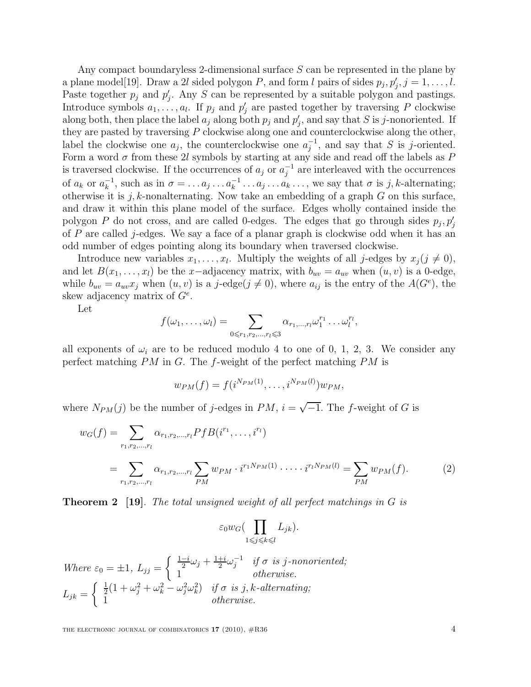Any compact boundaryless 2-dimensional surface S can be represented in the plane by a plane model<sup>[19]</sup>. Draw a 2l sided polygon P, and form l pairs of sides  $p_j, p'_j, j = 1, \ldots, l$ . Paste together  $p_j$  and  $p'_j$ . Any S can be represented by a suitable polygon and pastings. Introduce symbols  $a_1, \ldots, a_l$ . If  $p_j$  and  $p'_j$  are pasted together by traversing P clockwise along both, then place the label  $a_j$  along both  $p_j$  and  $p'_j$ , and say that S is j-nonoriented. If they are pasted by traversing P clockwise along one and counterclockwise along the other, label the clockwise one  $a_j$ , the counterclockwise one  $a_j^{-1}$ , and say that S is j-oriented. Form a word  $\sigma$  from these 2l symbols by starting at any side and read off the labels as  $P$ is traversed clockwise. If the occurrences of  $a_j$  or  $a_j^{-1}$  $j^{-1}$  are interleaved with the occurrences of  $a_k$  or  $a_k^{-1}$  $\kappa_k^{-1}$ , such as in  $\sigma = \ldots a_j \ldots a_k^{-1} \ldots a_j \ldots a_k \ldots$ , we say that  $\sigma$  is j, k-alternating; otherwise it is j, k-nonalternating. Now take an embedding of a graph  $G$  on this surface, and draw it within this plane model of the surface. Edges wholly contained inside the polygon P do not cross, and are called 0-edges. The edges that go through sides  $p_j, p'_j$ of  $P$  are called j-edges. We say a face of a planar graph is clockwise odd when it has an odd number of edges pointing along its boundary when traversed clockwise.

Introduce new variables  $x_1, \ldots, x_l$ . Multiply the weights of all j-edges by  $x_j (j \neq 0)$ , and let  $B(x_1, \ldots, x_l)$  be the x-adjacency matrix, with  $b_{uv} = a_{uv}$  when  $(u, v)$  is a 0-edge, while  $b_{uv} = a_{uv}x_j$  when  $(u, v)$  is a j-edge $(j \neq 0)$ , where  $a_{ij}$  is the entry of the  $A(G<sup>e</sup>)$ , the skew adjacency matrix of  $G^e$ .

Let

$$
f(\omega_1,\ldots,\omega_l)=\sum_{0\leq r_1,r_2,\ldots,r_l\leqslant 3}\alpha_{r_1,\ldots,r_l}\omega_1^{r_1}\ldots\omega_l^{r_l},
$$

all exponents of  $\omega_i$  are to be reduced modulo 4 to one of 0, 1, 2, 3. We consider any perfect matching  $PM$  in G. The f-weight of the perfect matching  $PM$  is

$$
w_{PM}(f) = f(i^{N_{PM}(1)}, \ldots, i^{N_{PM}(l)})w_{PM},
$$

where  $N_{PM}(j)$  be the number of j-edges in  $PM$ ,  $i = \sqrt{-1}$ . The f-weight of G is

$$
w_G(f) = \sum_{r_1, r_2, \dots, r_l} \alpha_{r_1, r_2, \dots, r_l} Pf B(i^{r_1}, \dots, i^{r_l})
$$
  
= 
$$
\sum_{r_1, r_2, \dots, r_l} \alpha_{r_1, r_2, \dots, r_l} \sum_{PM} w_{PM} \cdot i^{r_1 N_{PM}(1)} \cdot \dots \cdot i^{r_l N_{PM}(l)} = \sum_{PM} w_{PM}(f).
$$
 (2)

**Theorem 2** [19]. The total unsigned weight of all perfect matchings in G is

$$
\varepsilon_0 w_G \big( \prod_{1 \leq j \leq k \leq l} L_{jk} \big).
$$

Where  $\varepsilon_0 = \pm 1, L_{jj} =$  $\int \frac{1-i}{2}\omega_j + \frac{1+i}{2}$  $\frac{1+i}{2}\omega_j^{-1}$  $j^{-1}$  if  $\sigma$  is j-nonoriented; 1 otherwise.  $L_{jk} =$  $\int \frac{1}{2}(1+\omega_j^2+\omega_k^2-\omega_j^2\omega_k^2)$  if  $\sigma$  is j, k-alternating; 1 otherwise.

THE ELECTRONIC JOURNAL OF COMBINATORICS  $17$  (2010),  $\#R36$   $4$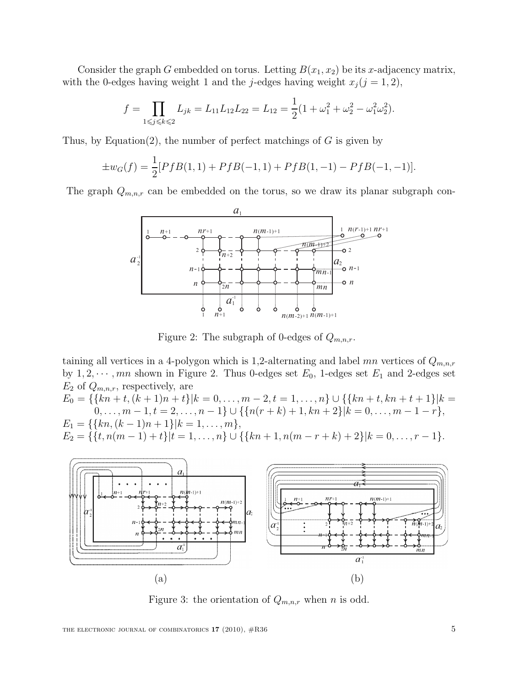Consider the graph G embedded on torus. Letting  $B(x_1, x_2)$  be its x-adjacency matrix, with the 0-edges having weight 1 and the j-edges having weight  $x_j (j = 1, 2)$ ,

$$
f = \prod_{1 \leq j \leq k \leq 2} L_{jk} = L_{11} L_{12} L_{22} = L_{12} = \frac{1}{2} (1 + \omega_1^2 + \omega_2^2 - \omega_1^2 \omega_2^2).
$$

Thus, by Equation(2), the number of perfect matchings of  $G$  is given by

$$
\pm w_G(f) = \frac{1}{2} [PfB(1,1) + PfB(-1,1) + PfB(1,-1) - PfB(-1,-1)].
$$

The graph  $Q_{m,n,r}$  can be embedded on the torus, so we draw its planar subgraph con-



Figure 2: The subgraph of 0-edges of  $Q_{m,n,r}$ .

taining all vertices in a 4-polygon which is 1,2-alternating and label mn vertices of  $Q_{m,n,r}$ by  $1, 2, \dots, mn$  shown in Figure 2. Thus 0-edges set  $E_0$ , 1-edges set  $E_1$  and 2-edges set  $E_2$  of  $Q_{m,n,r}$ , respectively, are

 $E_0 = \{\{kn+t, (k+1)n+t\}|k=0,\ldots,m-2,t=1,\ldots,n\} \cup \{\{kn+t, kn+t+1\}|k=1,\ldots,n\}$  $0, \ldots, m-1, t = 2, \ldots, n-1\} \cup \{\{n(r+k)+1, kn+2\}|k=0, \ldots, m-1-r\},\$  $E_1 = \{ \{ kn, (k-1)n + 1 \} | k = 1, \ldots, m \},\$  $E_2 = \{ \{t, n(m-1)+t\} | t = 1, \ldots, n \} \cup \{ \{ kn+1, n(m-r+k)+2 \} | k = 0, \ldots, r-1 \}.$ 



Figure 3: the orientation of  $Q_{m,n,r}$  when n is odd.

THE ELECTRONIC JOURNAL OF COMBINATORICS  $17$  (2010),  $\#R36$  5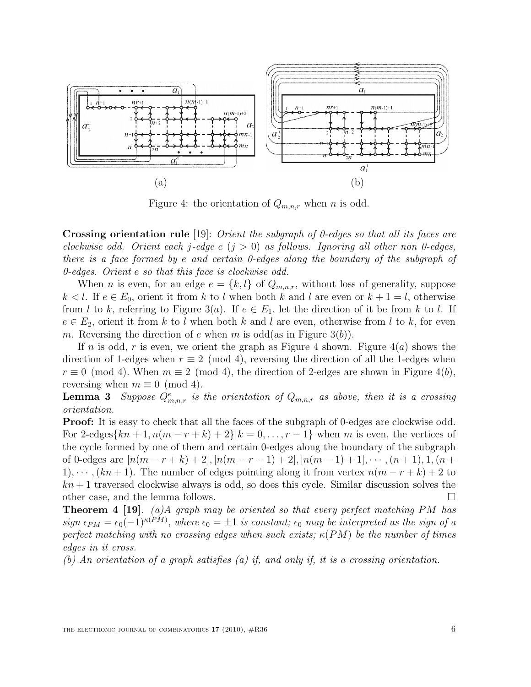

Figure 4: the orientation of  $Q_{m,n,r}$  when n is odd.

Crossing orientation rule [19]: Orient the subgraph of 0-edges so that all its faces are clockwise odd. Orient each j-edge e  $(j > 0)$  as follows. Ignoring all other non 0-edges, there is a face formed by e and certain 0-edges along the boundary of the subgraph of 0-edges. Orient e so that this face is clockwise odd.

When *n* is even, for an edge  $e = \{k, l\}$  of  $Q_{m,n,r}$ , without loss of generality, suppose  $k < l$ . If  $e \in E_0$ , orient it from k to l when both k and l are even or  $k + 1 = l$ , otherwise from l to k, referring to Figure 3(a). If  $e \in E_1$ , let the direction of it be from k to l. If  $e \in E_2$ , orient it from k to l when both k and l are even, otherwise from l to k, for even m. Reversing the direction of e when m is odd(as in Figure 3(b)).

If n is odd, r is even, we orient the graph as Figure 4 shown. Figure  $4(a)$  shows the direction of 1-edges when  $r \equiv 2 \pmod{4}$ , reversing the direction of all the 1-edges when  $r \equiv 0 \pmod{4}$ . When  $m \equiv 2 \pmod{4}$ , the direction of 2-edges are shown in Figure 4(b), reversing when  $m \equiv 0 \pmod{4}$ .

**Lemma 3** Suppose  $Q_{m,n,r}^e$  is the orientation of  $Q_{m,n,r}$  as above, then it is a crossing orientation.

Proof: It is easy to check that all the faces of the subgraph of 0-edges are clockwise odd. For 2-edges $\{kn+1, n(m-r+k)+2\}\vert k=0,\ldots,r-1\}$  when m is even, the vertices of the cycle formed by one of them and certain 0-edges along the boundary of the subgraph of 0-edges are  $[n(m - r + k) + 2]$ ,  $[n(m - r - 1) + 2]$ ,  $[n(m - 1) + 1]$ ,  $\cdots$ ,  $(n + 1)$ ,  $1$ ,  $(n +$ 1),  $\cdots$ ,  $(kn+1)$ . The number of edges pointing along it from vertex  $n(m-r+k)+2$  to  $kn+1$  traversed clockwise always is odd, so does this cycle. Similar discussion solves the other case, and the lemma follows.

**Theorem 4 [19].** (a)A graph may be oriented so that every perfect matching PM has sign  $\epsilon_{PM} = \epsilon_0(-1)^{\kappa(PM)}$ , where  $\epsilon_0 = \pm 1$  is constant;  $\epsilon_0$  may be interpreted as the sign of a perfect matching with no crossing edges when such exists;  $\kappa(PM)$  be the number of times edges in it cross.

(b) An orientation of a graph satisfies (a) if, and only if, it is a crossing orientation.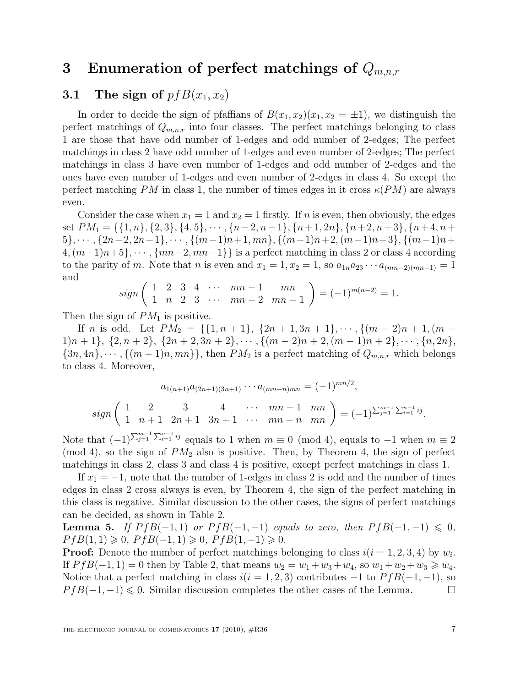## 3 Enumeration of perfect matchings of  $Q_{m,n,r}$

### 3.1 The sign of  $pfB(x_1, x_2)$

In order to decide the sign of pfaffians of  $B(x_1, x_2)(x_1, x_2 = \pm 1)$ , we distinguish the perfect matchings of  $Q_{m,n,r}$  into four classes. The perfect matchings belonging to class 1 are those that have odd number of 1-edges and odd number of 2-edges; The perfect matchings in class 2 have odd number of 1-edges and even number of 2-edges; The perfect matchings in class 3 have even number of 1-edges and odd number of 2-edges and the ones have even number of 1-edges and even number of 2-edges in class 4. So except the perfect matching PM in class 1, the number of times edges in it cross  $\kappa(PM)$  are always even.

Consider the case when  $x_1 = 1$  and  $x_2 = 1$  firstly. If n is even, then obviously, the edges set  $PM_1 = \{\{1, n\}, \{2, 3\}, \{4, 5\}, \cdots, \{n-2, n-1\}, \{n+1, 2n\}, \{n+2, n+3\}, \{n+4, n+1\}$  $5\}, \cdots, \{2n-2, 2n-1\}, \cdots, \{(m-1)n+1, mn\}, \{(m-1)n+2, (m-1)n+3\}, \{(m-1)n+3\}$  $\{4,(m-1)n+5\},\cdots,\{mn-2,mn-1\}\}\$ is a perfect matching in class 2 or class 4 according to the parity of m. Note that n is even and  $x_1 = 1, x_2 = 1$ , so  $a_{1n}a_{23} \cdots a_{(mn-2)(mn-1)} = 1$ and

$$
sign\left(\begin{array}{cccccc} 1 & 2 & 3 & 4 & \cdots & mn-1 & mn \\ 1 & n & 2 & 3 & \cdots & mn-2 & mn-1 \end{array}\right) = (-1)^{m(n-2)} = 1.
$$

Then the sign of  $PM_1$  is positive.

If n is odd. Let  $PM_2 = \{\{1, n + 1\}, \{2n + 1, 3n + 1\}, \cdots, \{(m - 2)n + 1, (m - 1)\}\}$  $1\vert n+1 \rangle$ ,  $\{2, n+2\}$ ,  $\{2n+2, 3n+2\}$ ,  $\cdots$ ,  $\{(m-2)n+2, (m-1)n+2\}$ ,  $\cdots$ ,  $\{n, 2n\}$ ,  $\{3n, 4n\}, \cdots, \{(m-1)n, mn\}\}\,$  then  $PM_2$  is a perfect matching of  $Q_{m,n,r}$  which belongs to class 4. Moreover,

$$
a_{1(n+1)}a_{(2n+1)(3n+1)}\cdots a_{(mn-n)mn} = (-1)^{mn/2},
$$
  

$$
sign\left(\begin{array}{cccccc} 1 & 2 & 3 & 4 & \cdots & mn-1 & mn \\ 1 & n+1 & 2n+1 & 3n+1 & \cdots & mn-n & mn \end{array}\right) = (-1)^{\sum_{j=1}^{m-1} \sum_{i=1}^{n-1} ij}.
$$

Note that  $(-1)^{\sum_{j=1}^{m-1} \sum_{i=1}^{n-1} ij}$  equals to 1 when  $m \equiv 0 \pmod{4}$ , equals to  $-1$  when  $m \equiv 2$  $\pmod{4}$ , so the sign of  $PM_2$  also is positive. Then, by Theorem 4, the sign of perfect matchings in class 2, class 3 and class 4 is positive, except perfect matchings in class 1.

If  $x_1 = -1$ , note that the number of 1-edges in class 2 is odd and the number of times edges in class 2 cross always is even, by Theorem 4, the sign of the perfect matching in this class is negative. Similar discussion to the other cases, the signs of perfect matchings can be decided, as shown in Table 2.

**Lemma 5.** If  $P f B(-1,1)$  or  $P f B(-1,-1)$  equals to zero, then  $P f B(-1,-1) \leq 0$ ,  $P f B(1,1) \geq 0$ ,  $P f B(-1,1) \geq 0$ ,  $P f B(1,-1) \geq 0$ .

**Proof:** Denote the number of perfect matchings belonging to class  $i(i = 1, 2, 3, 4)$  by  $w_i$ . If  $P f B(-1, 1) = 0$  then by Table 2, that means  $w_2 = w_1 + w_3 + w_4$ , so  $w_1 + w_2 + w_3 \geq w_4$ . Notice that a perfect matching in class  $i(i = 1, 2, 3)$  contributes −1 to  $PfB(-1, -1)$ , so  $PfB(-1, -1) \le 0$ . Similar discussion completes the other cases of the Lemma.  $P f B(-1, -1) \leq 0$ . Similar discussion completes the other cases of the Lemma.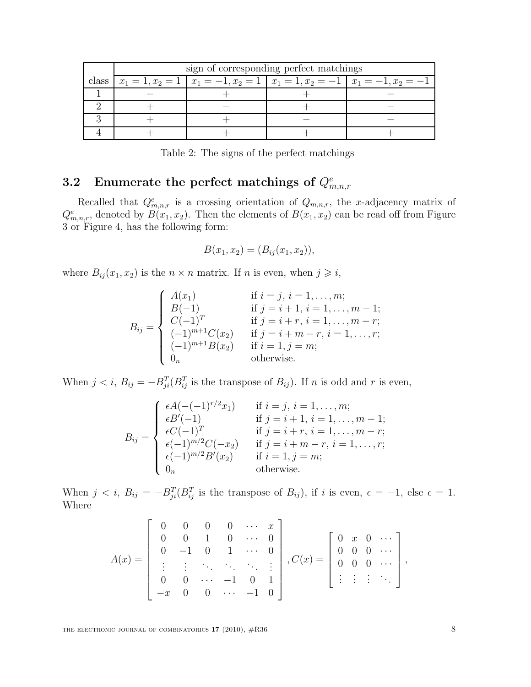| sign of corresponding perfect matchings |  |  |                                                                                         |  |  |
|-----------------------------------------|--|--|-----------------------------------------------------------------------------------------|--|--|
|                                         |  |  | class $x_1 = 1, x_2 = 1   x_1 = -1, x_2 = 1   x_1 = 1, x_2 = -1   x_1 = -1, x_2 = -1  $ |  |  |
|                                         |  |  |                                                                                         |  |  |
|                                         |  |  |                                                                                         |  |  |
|                                         |  |  |                                                                                         |  |  |
|                                         |  |  |                                                                                         |  |  |

Table 2: The signs of the perfect matchings

## ${\bf 3.2} \quad {\bf Enumerate\,\, the \,\, perfect \,\, matchings \,\, of} \,\, Q^{e}_{m,n,r}$

Recalled that  $Q_{m,n,r}^e$  is a crossing orientation of  $Q_{m,n,r}$ , the x-adjacency matrix of  $Q_{m,n,r}^e$ , denoted by  $B(x_1, x_2)$ . Then the elements of  $B(x_1, x_2)$  can be read off from Figure 3 or Figure 4, has the following form:

$$
B(x_1, x_2) = (B_{ij}(x_1, x_2)),
$$

where  $B_{ij}(x_1, x_2)$  is the  $n \times n$  matrix. If n is even, when  $j \geq i$ ,

$$
B_{ij} = \begin{cases} A(x_1) & \text{if } i = j, i = 1, ..., m; \\ B(-1) & \text{if } j = i + 1, i = 1, ..., m - 1; \\ C(-1)^T & \text{if } j = i + r, i = 1, ..., m - r; \\ (-1)^{m+1}C(x_2) & \text{if } j = i + m - r, i = 1, ..., r; \\ (-1)^{m+1}B(x_2) & \text{if } i = 1, j = m; \\ 0_n & \text{otherwise.} \end{cases}
$$

When  $j < i$ ,  $B_{ij} = -B_{ji}^T (B_{ij}^T)$  is the transpose of  $B_{ij}$ ). If n is odd and r is even,

$$
B_{ij} = \begin{cases} \epsilon A(-(1)^{r/2}x_1) & \text{if } i = j, i = 1, ..., m; \\ \epsilon B'(-1) & \text{if } j = i + 1, i = 1, ..., m - 1; \\ \epsilon C(-1)^T & \text{if } j = i + r, i = 1, ..., m - r; \\ \epsilon (-1)^{m/2}C(-x_2) & \text{if } j = i + m - r, i = 1, ..., r; \\ \epsilon (-1)^{m/2}B'(x_2) & \text{if } i = 1, j = m; \\ 0_n & \text{otherwise.} \end{cases}
$$

When  $j < i$ ,  $B_{ij} = -B_{ji}^T (B_{ij}^T)$  is the transpose of  $B_{ij}$ , if i is even,  $\epsilon = -1$ , else  $\epsilon = 1$ . Where

$$
A(x) = \begin{bmatrix} 0 & 0 & 0 & 0 & \cdots & x \\ 0 & 0 & 1 & 0 & \cdots & 0 \\ 0 & -1 & 0 & 1 & \cdots & 0 \\ \vdots & \vdots & \ddots & \ddots & \ddots & \vdots \\ 0 & 0 & \cdots & -1 & 0 & 1 \\ -x & 0 & 0 & \cdots & -1 & 0 \end{bmatrix}, C(x) = \begin{bmatrix} 0 & x & 0 & \cdots \\ 0 & 0 & 0 & \cdots \\ 0 & 0 & 0 & \cdots \\ \vdots & \vdots & \vdots & \ddots \end{bmatrix},
$$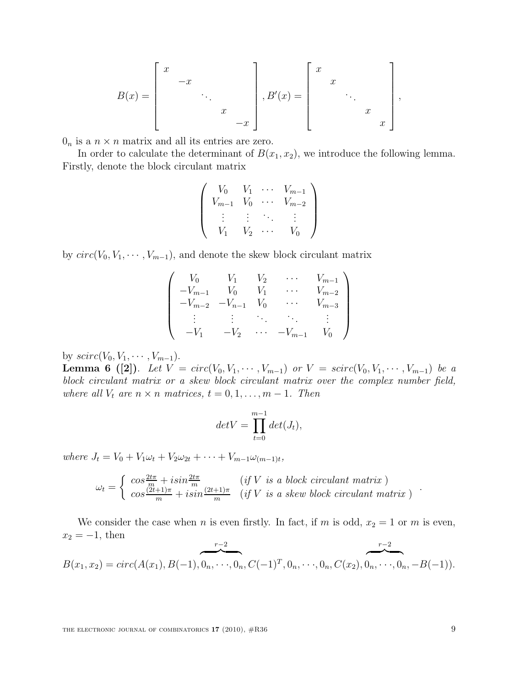$$
B(x) = \begin{bmatrix} x & & & \\ & -x & & \\ & & \ddots & \\ & & & x \\ & & & -x \end{bmatrix}, B'(x) = \begin{bmatrix} x & & & \\ & x & & \\ & & \ddots & \\ & & & x \\ & & & x \end{bmatrix}
$$

,

 $0_n$  is a  $n \times n$  matrix and all its entries are zero.

In order to calculate the determinant of  $B(x_1, x_2)$ , we introduce the following lemma. Firstly, denote the block circulant matrix

$$
\begin{pmatrix}\nV_0 & V_1 & \cdots & V_{m-1} \\
V_{m-1} & V_0 & \cdots & V_{m-2} \\
\vdots & \vdots & \ddots & \vdots \\
V_1 & V_2 & \cdots & V_0\n\end{pmatrix}
$$

by  $circ(V_0, V_1, \dots, V_{m-1})$ , and denote the skew block circulant matrix

$$
\begin{pmatrix}\nV_0 & V_1 & V_2 & \cdots & V_{m-1} \\
-V_{m-1} & V_0 & V_1 & \cdots & V_{m-2} \\
-V_{m-2} & -V_{n-1} & V_0 & \cdots & V_{m-3} \\
\vdots & \vdots & \ddots & \ddots & \vdots \\
-V_1 & -V_2 & \cdots & -V_{m-1} & V_0\n\end{pmatrix}
$$

by  $scirc(V_0, V_1, \cdots, V_{m-1})$ .

**Lemma 6** ([2]). Let  $V = circ(V_0, V_1, \cdots, V_{m-1})$  or  $V = scirc(V_0, V_1, \cdots, V_{m-1})$  be a block circulant matrix or a skew block circulant matrix over the complex number field, where all  $V_t$  are  $n \times n$  matrices,  $t = 0, 1, \ldots, m - 1$ . Then

$$
det V = \prod_{t=0}^{m-1} det(J_t),
$$

where  $J_t = V_0 + V_1 \omega_t + V_2 \omega_{2t} + \cdots + V_{m-1} \omega_{(m-1)t}$ ,

$$
\omega_t = \begin{cases} \cos \frac{2t\pi}{m} + i \sin \frac{2t\pi}{m} & (\text{if } V \text{ is a block circulant matrix})\\ \cos \frac{(2t+1)\pi}{m} + i \sin \frac{(2t+1)\pi}{m} & (\text{if } V \text{ is a skew block circulant matrix}) \end{cases}
$$

We consider the case when *n* is even firstly. In fact, if *m* is odd,  $x_2 = 1$  or *m* is even,  $x_2 = -1$ , then

$$
B(x_1, x_2) = circ(A(x_1), B(-1), 0_n, \cdots, 0_n, C(-1)^T, 0_n, \cdots, 0_n, C(x_2), 0_n, \cdots, 0_n, -B(-1)).
$$

THE ELECTRONIC JOURNAL OF COMBINATORICS  $17$  (2010),  $\#R36$  9

.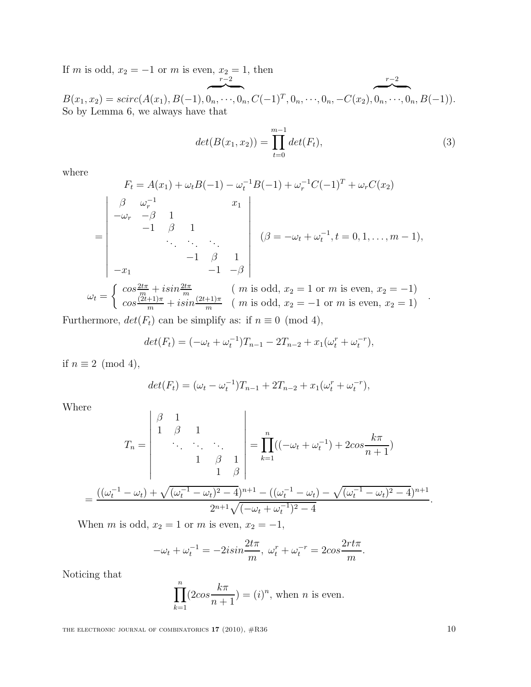If m is odd,  $x_2 = -1$  or m is even,  $x_2 = 1$ , then

 $\overline{\phantom{a}}$   $\overline{\phantom{a}}$   $\overline{\phantom{a}}$  $\sim$   $\sim$  $B(x_1, x_2) = \text{scirc}(A(x_1), B(-1), 0_n, \dots, 0_n, C(-1)^T, 0_n, \dots, 0_n, -C(x_2), 0_n, \dots, 0_n, B(-1)).$ So by Lemma 6, we always have that

$$
det(B(x_1, x_2)) = \prod_{t=0}^{m-1} det(F_t),
$$
\n(3)

 $r-2$ 

where

$$
F_t = A(x_1) + \omega_t B(-1) - \omega_t^{-1} B(-1) + \omega_r^{-1} C(-1)^T + \omega_r C(x_2)
$$
  
\n
$$
= \begin{vmatrix}\n\beta & \omega_r^{-1} & x_1 \\
-\omega_r & -\beta & 1 \\
\vdots & \vdots & \ddots \\
-\lambda_1 & -1 & \beta & 1 \\
-x_1 & -1 & -\beta\n\end{vmatrix} \quad (\beta = -\omega_t + \omega_t^{-1}, t = 0, 1, ..., m - 1),
$$
  
\n
$$
T = \begin{cases}\n\cos \frac{2t\pi}{m} + i\sin \frac{2t\pi}{m} & (m \text{ is odd}, x_2 = 1 \text{ or } m \text{ is even}, x_2 = -1) \\
\cos \frac{(2t+1)\pi}{m} + i\sin \frac{(2t+1)\pi}{m} & (m \text{ is odd}, x_2 = -1 \text{ or } m \text{ is even}, x_2 = 1)\n\end{cases}
$$

Furthermore,  $det(F_t)$  can be simplify as: if  $n \equiv 0 \pmod{4}$ ,

$$
det(F_t) = (-\omega_t + \omega_t^{-1})T_{n-1} - 2T_{n-2} + x_1(\omega_t^r + \omega_t^{-r}),
$$

if  $n \equiv 2 \pmod{4}$ ,

 $\omega_t$ 

$$
det(F_t) = (\omega_t - \omega_t^{-1})T_{n-1} + 2T_{n-2} + x_1(\omega_t^r + \omega_t^{-r}),
$$

Where

$$
T_n = \begin{vmatrix} \beta & 1 & & \\ 1 & \beta & 1 & \\ & \ddots & \ddots & \\ & & 1 & \beta & 1 \\ & & & 1 & \beta \end{vmatrix} = \prod_{k=1}^n ((-\omega_t + \omega_t^{-1}) + 2\cos\frac{k\pi}{n+1})
$$

$$
= \frac{((\omega_t^{-1} - \omega_t) + \sqrt{(\omega_t^{-1} - \omega_t)^2 - 4})^{n+1} - ((\omega_t^{-1} - \omega_t) - \sqrt{(\omega_t^{-1} - \omega_t)^2 - 4})^{n+1}}{2^{n+1}\sqrt{(-\omega_t + \omega_t^{-1})^2 - 4}}.
$$

When m is odd,  $x_2 = 1$  or m is even,  $x_2 = -1$ ,

$$
-\omega_t + \omega_t^{-1} = -2isin\frac{2t\pi}{m}, \ \omega_t^r + \omega_t^{-r} = 2cos\frac{2rt\pi}{m}.
$$

Noticing that

$$
\prod_{k=1}^{n} (2\cos\frac{k\pi}{n+1}) = (i)^n
$$
, when *n* is even.

THE ELECTRONIC JOURNAL OF COMBINATORICS  $17$  (2010),  $\#R36$  10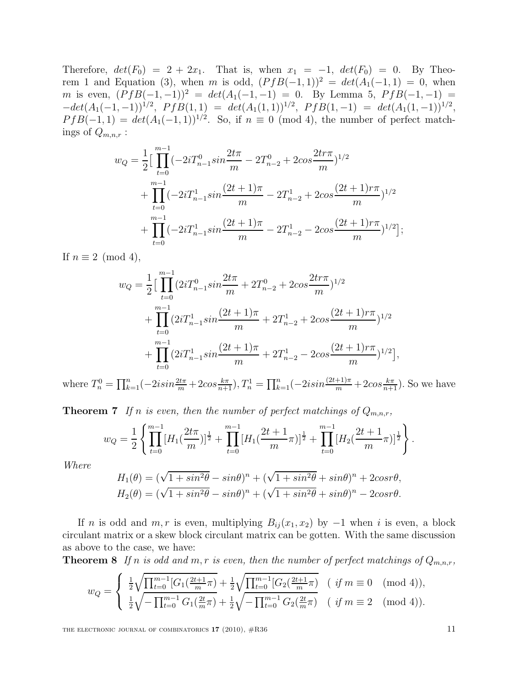Therefore,  $det(F_0) = 2 + 2x_1$ . That is, when  $x_1 = -1$ ,  $det(F_0) = 0$ . By Theorem 1 and Equation (3), when m is odd,  $(PfB(-1, 1))^2 = det(A_1(-1, 1)) = 0$ , when m is even,  $(PfB(-1,-1))^2 = det(A_1(-1,-1)) = 0$ . By Lemma 5,  $PfB(-1,-1) = 0$ .  $-\det(A_1(-1,-1))^{1/2}, \; PfB(1,1) = \det(A_1(1,1))^{1/2}, \; PfB(1,-1) = \det(A_1(1,-1))^{1/2},$  $P f B(-1,1) = det(A_1(-1,1))^{1/2}$ . So, if  $n \equiv 0 \pmod{4}$ , the number of perfect matchings of  $Q_{m,n,r}$ :

$$
w_Q = \frac{1}{2} \Big[ \prod_{t=0}^{m-1} \left( -2iT_{n-1}^0 \sin \frac{2t\pi}{m} - 2T_{n-2}^0 + 2\cos \frac{2tr\pi}{m} \right)^{1/2} + \prod_{t=0}^{m-1} \left( -2iT_{n-1}^1 \sin \frac{(2t+1)\pi}{m} - 2T_{n-2}^1 + 2\cos \frac{(2t+1)\pi\pi}{m} \right)^{1/2} + \prod_{t=0}^{m-1} \left( -2iT_{n-1}^1 \sin \frac{(2t+1)\pi}{m} - 2T_{n-2}^1 - 2\cos \frac{(2t+1)\pi\pi}{m} \right)^{1/2} \Big];
$$

If  $n \equiv 2 \pmod{4}$ ,

$$
w_Q = \frac{1}{2} \Big[ \prod_{t=0}^{m-1} (2iT_{n-1}^0 \sin \frac{2t\pi}{m} + 2T_{n-2}^0 + 2\cos \frac{2tr\pi}{m})^{1/2} + \prod_{t=0}^{m-1} (2iT_{n-1}^1 \sin \frac{(2t+1)\pi}{m} + 2T_{n-2}^1 + 2\cos \frac{(2t+1)\pi\pi}{m})^{1/2} + \prod_{t=0}^{m-1} (2iT_{n-1}^1 \sin \frac{(2t+1)\pi}{m} + 2T_{n-2}^1 - 2\cos \frac{(2t+1)\pi}{m})^{1/2} \Big],
$$

where  $T_n^0 = \prod_{k=1}^n (-2isin\frac{2t\pi}{m} + 2cos\frac{k\pi}{n+1}),$   $T_n^1 = \prod_{k=1}^n (-2isin\frac{(2t+1)\pi}{m} + 2cos\frac{k\pi}{n+1}).$  So we have

**Theorem 7** If n is even, then the number of perfect matchings of  $Q_{m,n,r}$ ,

$$
w_Q = \frac{1}{2} \left\{ \prod_{t=0}^{m-1} [H_1(\frac{2t\pi}{m})]^{\frac{1}{2}} + \prod_{t=0}^{m-1} [H_1(\frac{2t+1}{m}\pi)]^{\frac{1}{2}} + \prod_{t=0}^{m-1} [H_2(\frac{2t+1}{m}\pi)]^{\frac{1}{2}} \right\}.
$$

Where

$$
H_1(\theta) = (\sqrt{1 + \sin^2 \theta} - \sin \theta)^n + (\sqrt{1 + \sin^2 \theta} + \sin \theta)^n + 2\cos^2 \theta,
$$
  
\n
$$
H_2(\theta) = (\sqrt{1 + \sin^2 \theta} - \sin \theta)^n + (\sqrt{1 + \sin^2 \theta} + \sin \theta)^n - 2\cos^2 \theta.
$$

If n is odd and m, r is even, multiplying  $B_{ij}(x_1, x_2)$  by  $-1$  when i is even, a block circulant matrix or a skew block circulant matrix can be gotten. With the same discussion as above to the case, we have:

**Theorem 8** If n is odd and m, r is even, then the number of perfect matchings of  $Q_{m,n,r}$ ,

$$
w_Q = \begin{cases} \frac{1}{2} \sqrt{\prod_{t=0}^{m-1} [G_1(\frac{2t+1}{m}\pi) + \frac{1}{2} \sqrt{\prod_{t=0}^{m-1} [G_2(\frac{2t+1}{m}\pi)]}} & (\text{ if } m \equiv 0 \pmod{4}),\\ \frac{1}{2} \sqrt{-\prod_{t=0}^{m-1} G_1(\frac{2t}{m}\pi) + \frac{1}{2} \sqrt{-\prod_{t=0}^{m-1} G_2(\frac{2t}{m}\pi)} & (\text{ if } m \equiv 2 \pmod{4}). \end{cases}
$$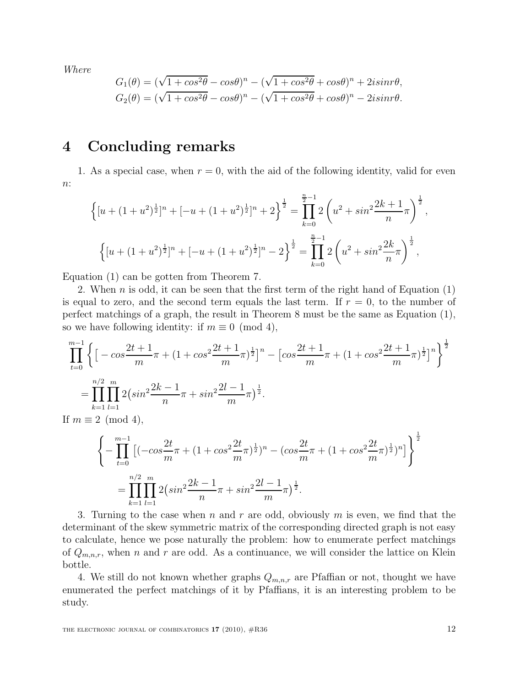Where

$$
G_1(\theta) = (\sqrt{1 + \cos^2 \theta} - \cos \theta)^n - (\sqrt{1 + \cos^2 \theta} + \cos \theta)^n + 2i \sin \theta,
$$
  
\n
$$
G_2(\theta) = (\sqrt{1 + \cos^2 \theta} - \cos \theta)^n - (\sqrt{1 + \cos^2 \theta} + \cos \theta)^n - 2i \sin \theta.
$$

## 4 Concluding remarks

1. As a special case, when  $r = 0$ , with the aid of the following identity, valid for even  $n$ :

$$
\left\{ [u + (1+u^2)^{\frac{1}{2}}]^n + [-u + (1+u^2)^{\frac{1}{2}}]^n + 2 \right\}^{\frac{1}{2}} = \prod_{k=0}^{\frac{n}{2}-1} 2\left(u^2 + \sin^2 \frac{2k+1}{n}\pi\right)^{\frac{1}{2}},
$$

$$
\left\{ [u + (1+u^2)^{\frac{1}{2}}]^n + [-u + (1+u^2)^{\frac{1}{2}}]^n - 2 \right\}^{\frac{1}{2}} = \prod_{k=0}^{\frac{n}{2}-1} 2\left(u^2 + \sin^2 \frac{2k}{n}\pi\right)^{\frac{1}{2}},
$$

Equation (1) can be gotten from Theorem 7.

2. When n is odd, it can be seen that the first term of the right hand of Equation  $(1)$ is equal to zero, and the second term equals the last term. If  $r = 0$ , to the number of perfect matchings of a graph, the result in Theorem 8 must be the same as Equation (1), so we have following identity: if  $m \equiv 0 \pmod{4}$ ,

$$
\prod_{t=0}^{m-1} \left\{ \left[ -\cos\frac{2t+1}{m}\pi + (1+\cos^2\frac{2t+1}{m}\pi)^{\frac{1}{2}} \right]^n - \left[ \cos\frac{2t+1}{m}\pi + (1+\cos^2\frac{2t+1}{m}\pi)^{\frac{1}{2}} \right]^n \right\}^{\frac{1}{2}}
$$
\n
$$
= \prod_{k=1}^{n/2} \prod_{l=1}^m 2\left(\sin^2\frac{2k-1}{n}\pi + \sin^2\frac{2l-1}{m}\pi\right)^{\frac{1}{2}}.
$$
\nIf  $m \equiv 2 \pmod{4}$ ,

$$
\left\{ -\prod_{t=0}^{m-1} \left[ (-\cos\frac{2t}{m}\pi + (1+\cos^2\frac{2t}{m}\pi)^{\frac{1}{2}})^n - (\cos\frac{2t}{m}\pi + (1+\cos^2\frac{2t}{m}\pi)^{\frac{1}{2}})^n \right] \right\}^{\frac{1}{2}}
$$
  
= 
$$
\prod_{k=1}^{n/2} \prod_{l=1}^{m} 2\left(\sin^2\frac{2k-1}{n}\pi + \sin^2\frac{2l-1}{m}\pi\right)^{\frac{1}{2}}.
$$

3. Turning to the case when n and r are odd, obviously m is even, we find that the determinant of the skew symmetric matrix of the corresponding directed graph is not easy to calculate, hence we pose naturally the problem: how to enumerate perfect matchings of  $Q_{m,n,r}$ , when n and r are odd. As a continuance, we will consider the lattice on Klein bottle.

4. We still do not known whether graphs  $Q_{m,n,r}$  are Pfaffian or not, thought we have enumerated the perfect matchings of it by Pfaffians, it is an interesting problem to be study.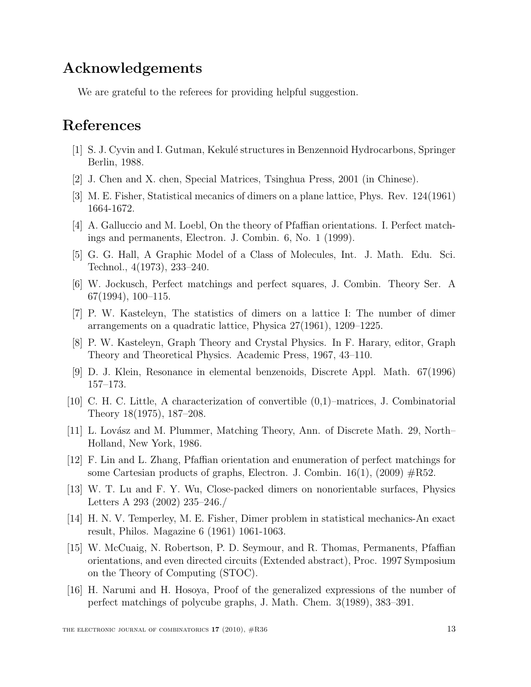## Acknowledgements

We are grateful to the referees for providing helpful suggestion.

## References

- [1] S. J. Cyvin and I. Gutman, Kekul´e structures in Benzennoid Hydrocarbons, Springer Berlin, 1988.
- [2] J. Chen and X. chen, Special Matrices, Tsinghua Press, 2001 (in Chinese).
- [3] M. E. Fisher, Statistical mecanics of dimers on a plane lattice, Phys. Rev. 124(1961) 1664-1672.
- [4] A. Galluccio and M. Loebl, On the theory of Pfaffian orientations. I. Perfect matchings and permanents, Electron. J. Combin. 6, No. 1 (1999).
- [5] G. G. Hall, A Graphic Model of a Class of Molecules, Int. J. Math. Edu. Sci. Technol., 4(1973), 233–240.
- [6] W. Jockusch, Perfect matchings and perfect squares, J. Combin. Theory Ser. A  $67(1994)$ ,  $100-115$ .
- [7] P. W. Kasteleyn, The statistics of dimers on a lattice I: The number of dimer arrangements on a quadratic lattice, Physica 27(1961), 1209–1225.
- [8] P. W. Kasteleyn, Graph Theory and Crystal Physics. In F. Harary, editor, Graph Theory and Theoretical Physics. Academic Press, 1967, 43–110.
- [9] D. J. Klein, Resonance in elemental benzenoids, Discrete Appl. Math. 67(1996) 157–173.
- [10] C. H. C. Little, A characterization of convertible (0,1)–matrices, J. Combinatorial Theory 18(1975), 187–208.
- [11] L. Lovász and M. Plummer, Matching Theory, Ann. of Discrete Math. 29, North– Holland, New York, 1986.
- [12] F. Lin and L. Zhang, Pfaffian orientation and enumeration of perfect matchings for some Cartesian products of graphs, Electron. J. Combin.  $16(1)$ , (2009)  $\#R52$ .
- [13] W. T. Lu and F. Y. Wu, Close-packed dimers on nonorientable surfaces, Physics Letters A 293 (2002) 235–246./
- [14] H. N. V. Temperley, M. E. Fisher, Dimer problem in statistical mechanics-An exact result, Philos. Magazine 6 (1961) 1061-1063.
- [15] W. McCuaig, N. Robertson, P. D. Seymour, and R. Thomas, Permanents, Pfaffian orientations, and even directed circuits (Extended abstract), Proc. 1997 Symposium on the Theory of Computing (STOC).
- [16] H. Narumi and H. Hosoya, Proof of the generalized expressions of the number of perfect matchings of polycube graphs, J. Math. Chem. 3(1989), 383–391.